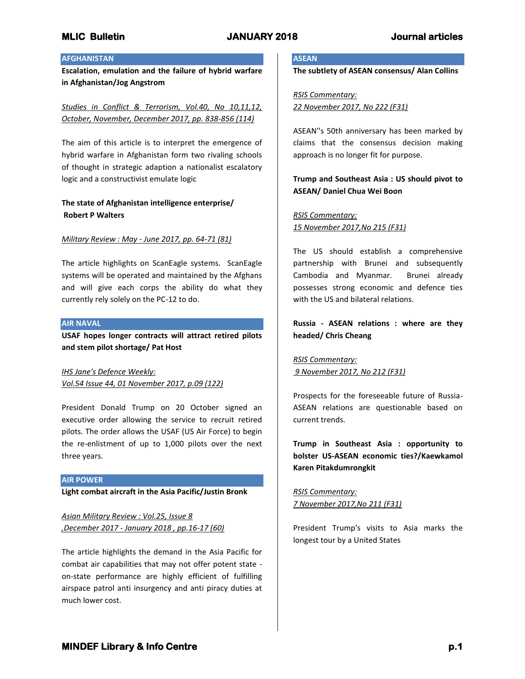## **AFGHANISTAN**

**Escalation, emulation and the failure of hybrid warfare in Afghanistan/Jog Angstrom**

*Studies in Conflict & Terrorism, Vol.40, No 10,11,12, October, November, December 2017, pp. 838-856 (114)* 

The aim of this article is to interpret the emergence of hybrid warfare in Afghanistan form two rivaling schools of thought in strategic adaption a nationalist escalatory logic and a constructivist emulate logic

# **The state of Afghanistan intelligence enterprise/ Robert P Walters**

## *Military Review : May - June 2017, pp. 64-71 (81)*

The article highlights on ScanEagle systems. ScanEagle systems will be operated and maintained by the Afghans and will give each corps the ability do what they currently rely solely on the PC-12 to do.

### **AIR NAVAL**

**USAF hopes longer contracts will attract retired pilots and stem pilot shortage/ Pat Host**

*IHS Jane's Defence Weekly: Vol.54 Issue 44, 01 November 2017, p.09 (122)*

President Donald Trump on 20 October signed an executive order allowing the service to recruit retired pilots. The order allows the USAF (US Air Force) to begin the re-enlistment of up to 1,000 pilots over the next three years.

**AIR POWER**

**Light combat aircraft in the Asia Pacific/Justin Bronk**

*Asian Military Review : Vol.25, Issue 8 ,December 2017 - January 2018 , pp.16-17 (60)*

The article highlights the demand in the Asia Pacific for combat air capabilities that may not offer potent state on-state performance are highly efficient of fulfilling airspace patrol anti insurgency and anti piracy duties at much lower cost.

### **ASEAN**

**The subtlety of ASEAN consensus/ Alan Collins**

*RSIS Commentary: 22 November 2017, No 222 (F31)*

ASEAN''s 50th anniversary has been marked by claims that the consensus decision making approach is no longer fit for purpose.

# **Trump and Southeast Asia : US should pivot to ASEAN/ Daniel Chua Wei Boon**

# *RSIS Commentary: 15 November 2017,No 215 (F31)*

The US should establish a comprehensive partnership with Brunei and subsequently Cambodia and Myanmar. Brunei already possesses strong economic and defence ties with the US and bilateral relations.

# **Russia - ASEAN relations : where are they headed/ Chris Cheang**

*RSIS Commentary: 9 November 2017, No 212 (F31)*

Prospects for the foreseeable future of Russia-ASEAN relations are questionable based on current trends.

**Trump in Southeast Asia : opportunity to bolster US-ASEAN economic ties?/Kaewkamol Karen Pitakdumrongkit**

*RSIS Commentary: 7 November 2017,No 211 (F31)*

President Trump's visits to Asia marks the longest tour by a United States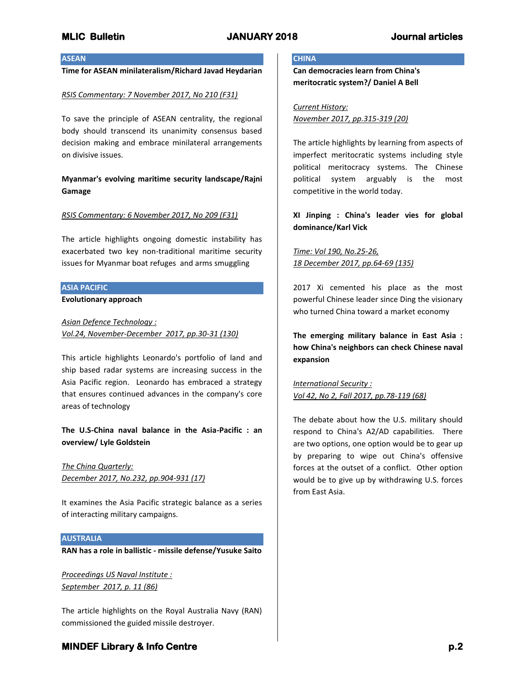### **ASEAN**

# **Time for ASEAN minilateralism/Richard Javad Heydarian**

### *RSIS Commentary: 7 November 2017, No 210 (F31)*

To save the principle of ASEAN centrality, the regional body should transcend its unanimity consensus based decision making and embrace minilateral arrangements on divisive issues.

**Myanmar's evolving maritime security landscape/Rajni Gamage**

### *RSIS Commentary: 6 November 2017, No 209 (F31)*

The article highlights ongoing domestic instability has exacerbated two key non-traditional maritime security issues for Myanmar boat refuges and arms smuggling

## **ASIA PACIFIC**

**Evolutionary approach**

*Asian Defence Technology : Vol.24, November-December 2017, pp.30-31 (130)*

This article highlights Leonardo's portfolio of land and ship based radar systems are increasing success in the Asia Pacific region. Leonardo has embraced a strategy that ensures continued advances in the company's core areas of technology

**The U.S-China naval balance in the Asia-Pacific : an overview/ Lyle Goldstein**

*The China Quarterly: December 2017, No.232, pp.904-931 (17)*

It examines the Asia Pacific strategic balance as a series of interacting military campaigns.

### **AUSTRALIA**

**RAN has a role in ballistic - missile defense/Yusuke Saito**

*Proceedings US Naval Institute : September 2017, p. 11 (86)*

The article highlights on the Royal Australia Navy (RAN) commissioned the guided missile destroyer.

### **CHINA**

**Can democracies learn from China's meritocratic system?/ Daniel A Bell**

### *Current History:*

*November 2017, pp.315-319 (20)*

The article highlights by learning from aspects of imperfect meritocratic systems including style political meritocracy systems. The Chinese political system arguably is the most competitive in the world today.

**XI Jinping : China's leader vies for global dominance/Karl Vick**

*Time: Vol 190, No.25-26, 18 December 2017, pp.64-69 (135)*

2017 Xi cemented his place as the most powerful Chinese leader since Ding the visionary who turned China toward a market economy

**The emerging military balance in East Asia : how China's neighbors can check Chinese naval expansion**

*International Security : Vol 42, No 2, Fall 2017, pp.78-119 (68)*

The debate about how the U.S. military should respond to China's A2/AD capabilities. There are two options, one option would be to gear up by preparing to wipe out China's offensive forces at the outset of a conflict. Other option would be to give up by withdrawing U.S. forces from East Asia.

# **MINDEF Library & Info Centre** *p.2 p.2*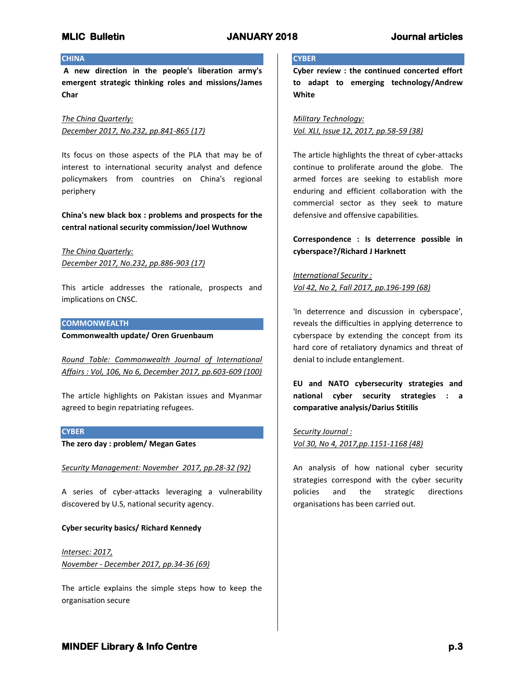## **CHINA**

**A new direction in the people's liberation army's emergent strategic thinking roles and missions/James Char**

*The China Quarterly: December 2017, No.232, pp.841-865 (17)*

Its focus on those aspects of the PLA that may be of interest to international security analyst and defence policymakers from countries on China's regional periphery

**China's new black box : problems and prospects for the central national security commission/Joel Wuthnow**

*The China Quarterly: December 2017, No.232, pp.886-903 (17)*

This article addresses the rationale, prospects and implications on CNSC.

## **COMMONWEALTH**

**Commonwealth update/ Oren Gruenbaum**

*Round Table: Commonwealth Journal of International Affairs : Vol, 106, No 6, December 2017, pp.603-609 (100)*

The article highlights on Pakistan issues and Myanmar agreed to begin repatriating refugees.

## **CYBER**

**The zero day : problem/ Megan Gates**

*Security Management: November 2017, pp.28-32 (92)*

A series of cyber-attacks leveraging a vulnerability discovered by U.S, national security agency.

## **Cyber security basics/ Richard Kennedy**

*Intersec: 2017, November - December 2017, pp.34-36 (69)*

The article explains the simple steps how to keep the organisation secure

### **CYBER**

**Cyber review : the continued concerted effort to adapt to emerging technology/Andrew White**

*Military Technology: Vol. XLI, Issue 12, 2017, pp.58-59 (38)*

The article highlights the threat of cyber-attacks continue to proliferate around the globe. The armed forces are seeking to establish more enduring and efficient collaboration with the commercial sector as they seek to mature defensive and offensive capabilities.

**Correspondence : Is deterrence possible in cyberspace?/Richard J Harknett**

*International Security : Vol 42, No 2, Fall 2017, pp.196-199 (68)*

'In deterrence and discussion in cyberspace', reveals the difficulties in applying deterrence to cyberspace by extending the concept from its hard core of retaliatory dynamics and threat of denial to include entanglement.

**EU and NATO cybersecurity strategies and national cyber security strategies : a comparative analysis/Darius Stitilis**

*Security Journal : Vol 30, No 4, 2017,pp.1151-1168 (48)*

An analysis of how national cyber security strategies correspond with the cyber security policies and the strategic directions organisations has been carried out.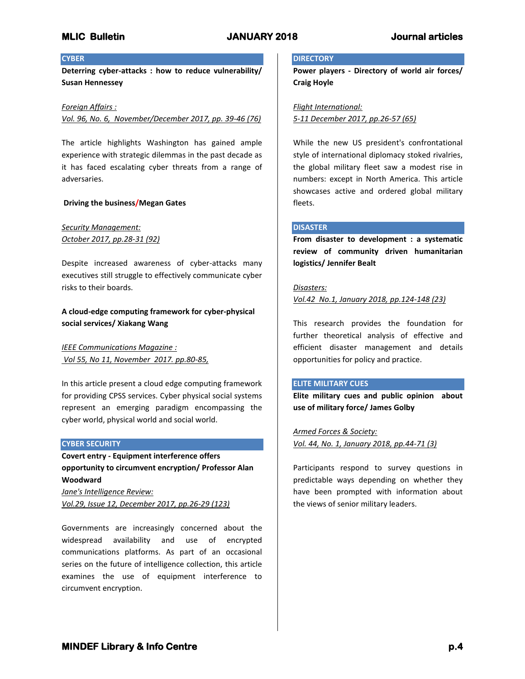## **CYBER**

**Deterring cyber-attacks : how to reduce vulnerability/ Susan Hennessey**

### *Foreign Affairs :*

*Vol. 96, No. 6, November/December 2017, pp. 39-46 (76)*

The article highlights Washington has gained ample experience with strategic dilemmas in the past decade as it has faced escalating cyber threats from a range of adversaries.

### **Driving the business/Megan Gates**

## *Security Management: October 2017, pp.28-31 (92)*

Despite increased awareness of cyber-attacks many executives still struggle to effectively communicate cyber risks to their boards.

# **A cloud-edge computing framework for cyber-physical social services/ Xiakang Wang**

*IEEE Communications Magazine : Vol 55, No 11, November 2017. pp.80-85,*

In this article present a cloud edge computing framework for providing CPSS services. Cyber physical social systems represent an emerging paradigm encompassing the cyber world, physical world and social world.

### **CYBER SECURITY**

**Covert entry - Equipment interference offers opportunity to circumvent encryption/ Professor Alan Woodward**

*Jane's Intelligence Review: Vol.29, Issue 12, December 2017, pp.26-29 (123)*

Governments are increasingly concerned about the widespread availability and use of encrypted communications platforms. As part of an occasional series on the future of intelligence collection, this article examines the use of equipment interference to circumvent encryption.

### **DIRECTORY**

**Power players - Directory of world air forces/ Craig Hoyle**

# *Flight International:*

*5-11 December 2017, pp.26-57 (65)*

While the new US president's confrontational style of international diplomacy stoked rivalries, the global military fleet saw a modest rise in numbers: except in North America. This article showcases active and ordered global military fleets.

## **DISASTER**

**From disaster to development : a systematic review of community driven humanitarian logistics/ Jennifer Bealt**

### *Disasters:*

*Vol.42 No.1, January 2018, pp.124-148 (23)*

This research provides the foundation for further theoretical analysis of effective and efficient disaster management and details opportunities for policy and practice.

### **ELITE MILITARY CUES**

**Elite military cues and public opinion about use of military force/ James Golby**

*Armed Forces & Society: Vol. 44, No. 1, January 2018, pp.44-71 (3)*

Participants respond to survey questions in predictable ways depending on whether they have been prompted with information about the views of senior military leaders.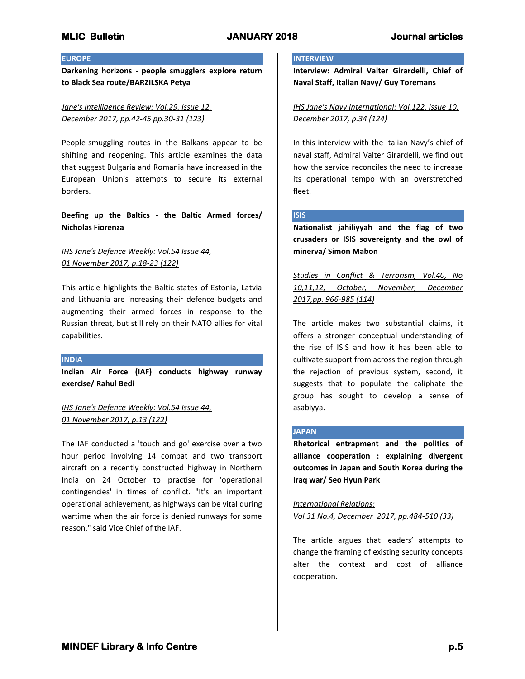## **EUROPE**

**Darkening horizons - people smugglers explore return to Black Sea route/BARZILSKA Petya**

# *Jane's Intelligence Review: Vol.29, Issue 12, December 2017, pp.42-45 pp.30-31 (123)*

People-smuggling routes in the Balkans appear to be shifting and reopening. This article examines the data that suggest Bulgaria and Romania have increased in the European Union's attempts to secure its external borders.

# **Beefing up the Baltics - the Baltic Armed forces/ Nicholas Fiorenza**

# *IHS Jane's Defence Weekly: Vol.54 Issue 44, 01 November 2017, p.18-23 (122)*

This article highlights the Baltic states of Estonia, Latvia and Lithuania are increasing their defence budgets and augmenting their armed forces in response to the Russian threat, but still rely on their NATO allies for vital capabilities.

## **INDIA**

**Indian Air Force (IAF) conducts highway runway exercise/ Rahul Bedi**

*IHS Jane's Defence Weekly: Vol.54 Issue 44, 01 November 2017, p.13 (122)*

The IAF conducted a 'touch and go' exercise over a two hour period involving 14 combat and two transport aircraft on a recently constructed highway in Northern India on 24 October to practise for 'operational contingencies' in times of conflict. "It's an important operational achievement, as highways can be vital during wartime when the air force is denied runways for some reason," said Vice Chief of the IAF.

## **INTERVIEW**

**Interview: Admiral Valter Girardelli, Chief of Naval Staff, Italian Navy/ Guy Toremans**

*IHS Jane's Navy International: Vol.122, Issue 10, December 2017, p.34 (124)*

In this interview with the Italian Navy's chief of naval staff, Admiral Valter Girardelli, we find out how the service reconciles the need to increase its operational tempo with an overstretched fleet.

## **ISIS**

**Nationalist jahiliyyah and the flag of two crusaders or ISIS sovereignty and the owl of minerva/ Simon Mabon**

*Studies in Conflict & Terrorism, Vol.40, No 10,11,12, October, November, December 2017,pp. 966-985 (114)*

The article makes two substantial claims, it offers a stronger conceptual understanding of the rise of ISIS and how it has been able to cultivate support from across the region through the rejection of previous system, second, it suggests that to populate the caliphate the group has sought to develop a sense of asabiyya.

## **JAPAN**

**Rhetorical entrapment and the politics of alliance cooperation : explaining divergent outcomes in Japan and South Korea during the Iraq war/ Seo Hyun Park**

*International Relations: Vol.31 No.4, December 2017, pp.484-510 (33)*

The article argues that leaders' attempts to change the framing of existing security concepts alter the context and cost of alliance cooperation.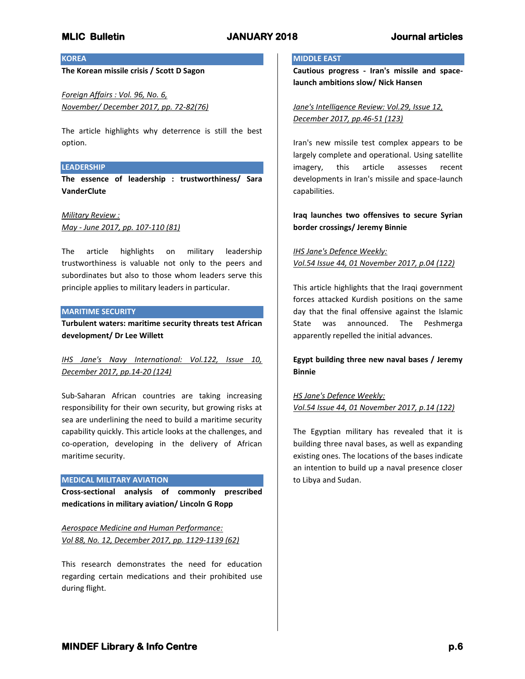## **KOREA**

**The Korean missile crisis / Scott D Sagon**

*Foreign Affairs : Vol. 96, No. 6, November/ December 2017, pp. 72-82(76)*

The article highlights why deterrence is still the best option.

### **LEADERSHIP**

**The essence of leadership : trustworthiness/ Sara VanderClute**

### *Military Review :*

*May - June 2017, pp. 107-110 (81)*

The article highlights on military leadership trustworthiness is valuable not only to the peers and subordinates but also to those whom leaders serve this principle applies to military leaders in particular.

### **MARITIME SECURITY**

**Turbulent waters: maritime security threats test African development/ Dr Lee Willett**

*IHS Jane's Navy International: Vol.122, Issue 10, December 2017, pp.14-20 (124)* 

Sub-Saharan African countries are taking increasing responsibility for their own security, but growing risks at sea are underlining the need to build a maritime security capability quickly. This article looks at the challenges, and co-operation, developing in the delivery of African maritime security.

### **MEDICAL MILITARY AVIATION**

**Cross-sectional analysis of commonly prescribed medications in military aviation/ Lincoln G Ropp**

*Aerospace Medicine and Human Performance: Vol 88, No. 12, December 2017, pp. 1129-1139 (62)*

This research demonstrates the need for education regarding certain medications and their prohibited use during flight.

### **MIDDLE EAST**

**Cautious progress - Iran's missile and spacelaunch ambitions slow/ Nick Hansen**

*Jane's Intelligence Review: Vol.29, Issue 12, December 2017, pp.46-51 (123)*

Iran's new missile test complex appears to be largely complete and operational. Using satellite imagery, this article assesses recent developments in Iran's missile and space-launch capabilities.

**Iraq launches two offensives to secure Syrian border crossings/ Jeremy Binnie**

*IHS Jane's Defence Weekly: Vol.54 Issue 44, 01 November 2017, p.04 (122)*

This article highlights that the Iraqi government forces attacked Kurdish positions on the same day that the final offensive against the Islamic State was announced. The Peshmerga apparently repelled the initial advances.

**Egypt building three new naval bases / Jeremy Binnie**

*HS Jane's Defence Weekly: Vol.54 Issue 44, 01 November 2017, p.14 (122)*

The Egyptian military has revealed that it is building three naval bases, as well as expanding existing ones. The locations of the bases indicate an intention to build up a naval presence closer to Libya and Sudan.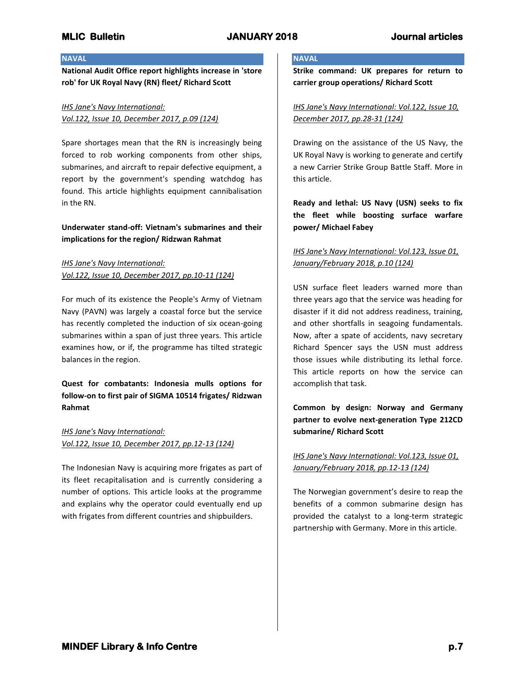# **NAVAL**

**National Audit Office report highlights increase in 'store rob' for UK Royal Navy (RN) fleet/ Richard Scott**

# *IHS Jane's Navy International: Vol.122, Issue 10, December 2017, p.09 (124)*

Spare shortages mean that the RN is increasingly being forced to rob working components from other ships, submarines, and aircraft to repair defective equipment, a report by the government's spending watchdog has found. This article highlights equipment cannibalisation in the RN.

# **Underwater stand-off: Vietnam's submarines and their implications for the region/ Ridzwan Rahmat**

# *IHS Jane's Navy International: Vol.122, Issue 10, December 2017, pp.10-11 (124)*

For much of its existence the People's Army of Vietnam Navy (PAVN) was largely a coastal force but the service has recently completed the induction of six ocean-going submarines within a span of just three years. This article examines how, or if, the programme has tilted strategic balances in the region.

**Quest for combatants: Indonesia mulls options for follow-on to first pair of SIGMA 10514 frigates/ Ridzwan Rahmat**

*IHS Jane's Navy International: Vol.122, Issue 10, December 2017, pp.12-13 (124)*

The Indonesian Navy is acquiring more frigates as part of its fleet recapitalisation and is currently considering a number of options. This article looks at the programme and explains why the operator could eventually end up with frigates from different countries and shipbuilders.

## **NAVAL**

**Strike command: UK prepares for return to carrier group operations/ Richard Scott**

*IHS Jane's Navy International: Vol.122, Issue 10, December 2017, pp.28-31 (124)*

Drawing on the assistance of the US Navy, the UK Royal Navy is working to generate and certify a new Carrier Strike Group Battle Staff. More in this article.

**Ready and lethal: US Navy (USN) seeks to fix the fleet while boosting surface warfare power/ Michael Fabey**

# *IHS Jane's Navy International: Vol.123, Issue 01, January/February 2018, p.10 (124)*

USN surface fleet leaders warned more than three years ago that the service was heading for disaster if it did not address readiness, training, and other shortfalls in seagoing fundamentals. Now, after a spate of accidents, navy secretary Richard Spencer says the USN must address those issues while distributing its lethal force. This article reports on how the service can accomplish that task.

**Common by design: Norway and Germany partner to evolve next-generation Type 212CD submarine/ Richard Scott**

*IHS Jane's Navy International: Vol.123, Issue 01, January/February 2018, pp.12-13 (124)*

The Norwegian government's desire to reap the benefits of a common submarine design has provided the catalyst to a long-term strategic partnership with Germany. More in this article.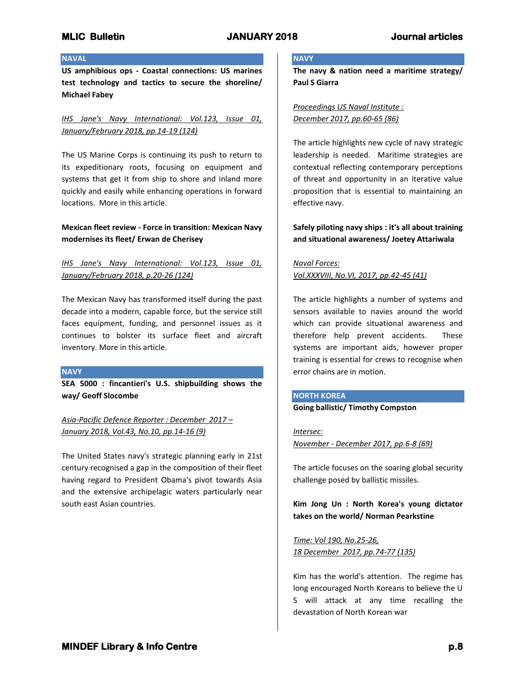## **NAVAL**

**US amphibious ops - Coastal connections: US marines test technology and tactics to secure the shoreline/ Michael Fabey**

*IHS Jane's Navy International: Vol.123, Issue 01, January/February 2018, pp.14-19 (124)*

The US Marine Corps is continuing its push to return to its expeditionary roots, focusing on equipment and systems that get it from ship to shore and inland more quickly and easily while enhancing operations in forward locations. More in this article.

# **Mexican fleet review - Force in transition: Mexican Navy modernises its fleet/ Erwan de Cherisey**

# *IHS Jane's Navy International: Vol.123, Issue 01, January/February 2018, p.20-26 (124)*

The Mexican Navy has transformed itself during the past decade into a modern, capable force, but the service still faces equipment, funding, and personnel issues as it continues to bolster its surface fleet and aircraft inventory. More in this article.

## **NAVY**

**SEA 5000 : fincantieri's U.S. shipbuilding shows the way/ Geoff Slocombe**

*Asia-Pacific Defence Reporter : December 2017 – January 2018, Vol.43, No.10, pp.14-16 (9)*

The United States navy's strategic planning early in 21st century recognised a gap in the composition of their fleet having regard to President Obama's pivot towards Asia and the extensive archipelagic waters particularly near south east Asian countries.

## **NAVY**

**The navy & nation need a maritime strategy/ Paul S Giarra**

*Proceedings US Naval Institute : December 2017, pp.60-65 (86)*

The article highlights new cycle of navy strategic leadership is needed. Maritime strategies are contextual reflecting contemporary perceptions of threat and opportunity in an iterative value proposition that is essential to maintaining an effective navy.

# **Safely piloting navy ships : it's all about training and situational awareness/ Joetey Attariwala**

# *Naval Forces: Vol.XXXVIII, No.VI, 2017, pp.42-45 (41)*

The article highlights a number of systems and sensors available to navies around the world which can provide situational awareness and therefore help prevent accidents. These systems are important aids, however proper training is essential for crews to recognise when error chains are in motion.

## **NORTH KOREA Going ballistic/ Timothy Compston**

*Intersec:* 

*November - December 2017, pp.6-8 (69)*

The article focuses on the soaring global security challenge posed by ballistic missiles.

**Kim Jong Un : North Korea's young dictator takes on the world/ Norman Pearkstine**

*Time: Vol 190, No.25-26, 18 December 2017, pp.74-77 (135)*

Kim has the world's attention. The regime has long encouraged North Koreans to believe the U S will attack at any time recalling the devastation of North Korean war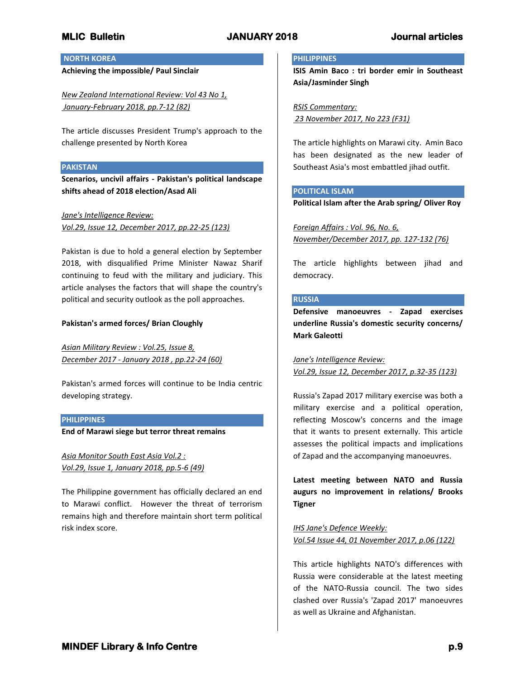# **NORTH KOREA**

**Achieving the impossible/ Paul Sinclair**

*New Zealand International Review: Vol 43 No 1, January-February 2018, pp.7-12 (82)*

The article discusses President Trump's approach to the challenge presented by North Korea

## **PAKISTAN**

**Scenarios, uncivil affairs - Pakistan's political landscape shifts ahead of 2018 election/Asad Ali**

*Jane's Intelligence Review:* 

*Vol.29, Issue 12, December 2017, pp.22-25 (123)*

Pakistan is due to hold a general election by September 2018, with disqualified Prime Minister Nawaz Sharif continuing to feud with the military and judiciary. This article analyses the factors that will shape the country's political and security outlook as the poll approaches.

## **Pakistan's armed forces/ Brian Cloughly**

*Asian Military Review : Vol.25, Issue 8, December 2017 - January 2018 , pp.22-24 (60)*

Pakistan's armed forces will continue to be India centric developing strategy.

## **PHILIPPINES**

**End of Marawi siege but terror threat remains**

*Asia Monitor South East Asia Vol.2 : Vol.29, Issue 1, January 2018, pp.5-6 (49)*

The Philippine government has officially declared an end to Marawi conflict. However the threat of terrorism remains high and therefore maintain short term political risk index score.

## **PHILIPPINES**

**ISIS Amin Baco : tri border emir in Southeast Asia/Jasminder Singh**

*RSIS Commentary: 23 November 2017, No 223 (F31)*

The article highlights on Marawi city. Amin Baco has been designated as the new leader of Southeast Asia's most embattled jihad outfit.

# **POLITICAL ISLAM**

**Political Islam after the Arab spring/ Oliver Roy**

*Foreign Affairs : Vol. 96, No. 6, November/December 2017, pp. 127-132 (76)*

The article highlights between jihad and democracy.

# **RUSSIA**

**Defensive manoeuvres - Zapad exercises underline Russia's domestic security concerns/ Mark Galeotti**

*Jane's Intelligence Review: Vol.29, Issue 12, December 2017, p.32-35 (123)*

Russia's Zapad 2017 military exercise was both a military exercise and a political operation, reflecting Moscow's concerns and the image that it wants to present externally. This article assesses the political impacts and implications of Zapad and the accompanying manoeuvres.

**Latest meeting between NATO and Russia augurs no improvement in relations/ Brooks Tigner**

*IHS Jane's Defence Weekly: Vol.54 Issue 44, 01 November 2017, p.06 (122)*

This article highlights NATO's differences with Russia were considerable at the latest meeting of the NATO-Russia council. The two sides clashed over Russia's 'Zapad 2017' manoeuvres as well as Ukraine and Afghanistan.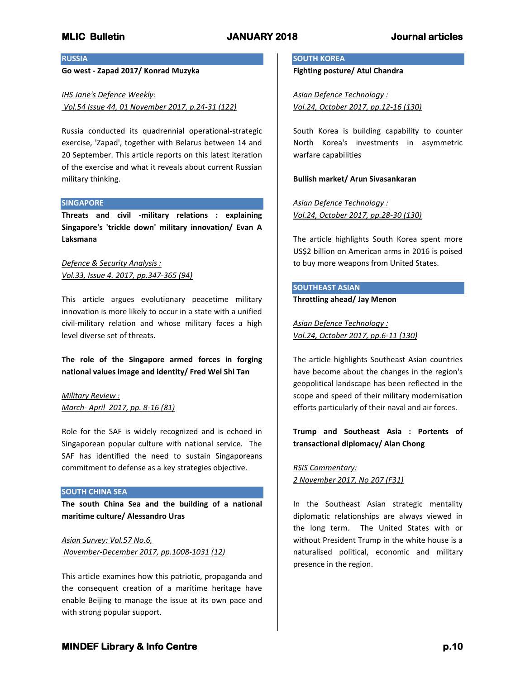**RUSSIA**

## **Go west - Zapad 2017/ Konrad Muzyka**

*IHS Jane's Defence Weekly: Vol.54 Issue 44, 01 November 2017, p.24-31 (122)*

Russia conducted its quadrennial operational-strategic exercise, 'Zapad', together with Belarus between 14 and 20 September. This article reports on this latest iteration of the exercise and what it reveals about current Russian military thinking.

### **SINGAPORE**

**Threats and civil -military relations : explaining Singapore's 'trickle down' military innovation/ Evan A Laksmana**

*Defence & Security Analysis : Vol.33, Issue 4. 2017, pp.347-365 (94)*

This article argues evolutionary peacetime military innovation is more likely to occur in a state with a unified civil-military relation and whose military faces a high level diverse set of threats.

**The role of the Singapore armed forces in forging national values image and identity/ Fred Wel Shi Tan**

*Military Review : March- April 2017, pp. 8-16 (81)*

Role for the SAF is widely recognized and is echoed in Singaporean popular culture with national service. The SAF has identified the need to sustain Singaporeans commitment to defense as a key strategies objective.

### **SOUTH CHINA SEA**

**The south China Sea and the building of a national maritime culture/ Alessandro Uras**

*Asian Survey: Vol.57 No.6, November-December 2017, pp.1008-1031 (12)*

This article examines how this patriotic, propaganda and the consequent creation of a maritime heritage have enable Beijing to manage the issue at its own pace and with strong popular support.

### **SOUTH KOREA**

**Fighting posture/ Atul Chandra**

*Asian Defence Technology : Vol.24, October 2017, pp.12-16 (130)*

South Korea is building capability to counter North Korea's investments in asymmetric warfare capabilities

**Bullish market/ Arun Sivasankaran**

*Asian Defence Technology : Vol.24, October 2017, pp.28-30 (130)*

The article highlights South Korea spent more US\$2 billion on American arms in 2016 is poised to buy more weapons from United States.

## **SOUTHEAST ASIAN**

**Throttling ahead/ Jay Menon**

*Asian Defence Technology : Vol.24, October 2017, pp.6-11 (130)*

The article highlights Southeast Asian countries have become about the changes in the region's geopolitical landscape has been reflected in the scope and speed of their military modernisation efforts particularly of their naval and air forces.

**Trump and Southeast Asia : Portents of transactional diplomacy/ Alan Chong**

*RSIS Commentary: 2 November 2017, No 207 (F31)*

In the Southeast Asian strategic mentality diplomatic relationships are always viewed in the long term. The United States with or without President Trump in the white house is a naturalised political, economic and military presence in the region.

# **MINDEF Library & Info Centre** *p***.10 <b>p.10 p.10**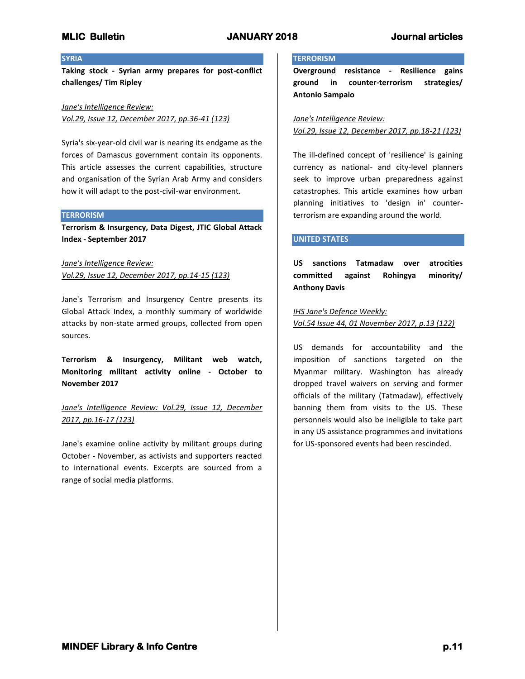### **SYRIA**

**Taking stock - Syrian army prepares for post-conflict challenges/ Tim Ripley**

*Jane's Intelligence Review: Vol.29, Issue 12, December 2017, pp.36-41 (123)*

Syria's six-year-old civil war is nearing its endgame as the forces of Damascus government contain its opponents. This article assesses the current capabilities, structure and organisation of the Syrian Arab Army and considers how it will adapt to the post-civil-war environment.

### **TERRORISM**

**Terrorism & Insurgency, Data Digest, JTIC Global Attack Index - September 2017**

*Jane's Intelligence Review: Vol.29, Issue 12, December 2017, pp.14-15 (123)*

Jane's Terrorism and Insurgency Centre presents its Global Attack Index, a monthly summary of worldwide attacks by non-state armed groups, collected from open sources.

**Terrorism & Insurgency, Militant web watch, Monitoring militant activity online - October to November 2017**

*Jane's Intelligence Review: Vol.29, Issue 12, December 2017, pp.16-17 (123)*

Jane's examine online activity by militant groups during October - November, as activists and supporters reacted to international events. Excerpts are sourced from a range of social media platforms.

### **TERRORISM**

**Overground resistance - Resilience gains ground in counter-terrorism strategies/ Antonio Sampaio**

*Jane's Intelligence Review: Vol.29, Issue 12, December 2017, pp.18-21 (123)*

The ill-defined concept of 'resilience' is gaining currency as national- and city-level planners seek to improve urban preparedness against catastrophes. This article examines how urban planning initiatives to 'design in' counterterrorism are expanding around the world.

## **UNITED STATES**

**US sanctions Tatmadaw over atrocities committed against Rohingya minority/ Anthony Davis**

*IHS Jane's Defence Weekly: Vol.54 Issue 44, 01 November 2017, p.13 (122)*

US demands for accountability and the imposition of sanctions targeted on the Myanmar military. Washington has already dropped travel waivers on serving and former officials of the military (Tatmadaw), effectively banning them from visits to the US. These personnels would also be ineligible to take part in any US assistance programmes and invitations for US-sponsored events had been rescinded.